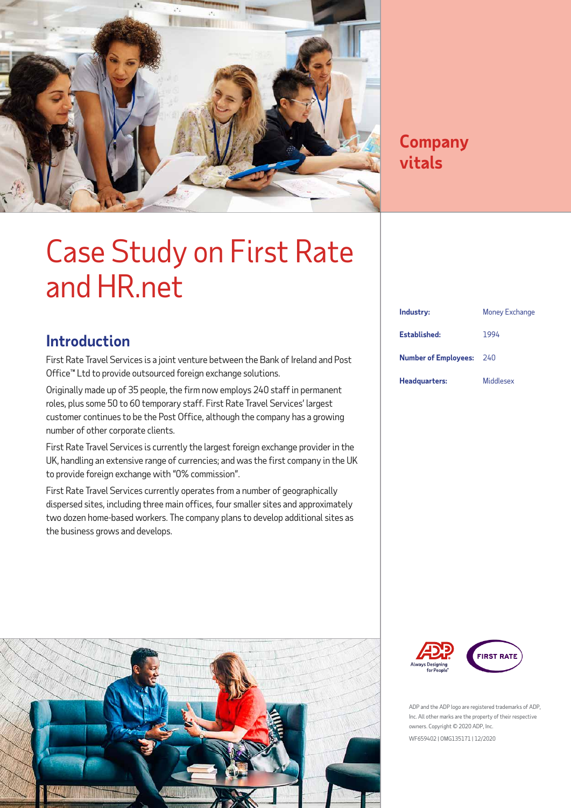

### **Company vitals**

### Case Study on First Rate and HR.net

### **Introduction**

First Rate Travel Services is a joint venture between the Bank of Ireland and Post Office™ Ltd to provide outsourced foreign exchange solutions.

Originally made up of 35 people, the firm now employs 240 staff in permanent roles, plus some 50 to 60 temporary staff. First Rate Travel Services' largest customer continues to be the Post Office, although the company has a growing number of other corporate clients.

First Rate Travel Services is currently the largest foreign exchange provider in the UK, handling an extensive range of currencies; and was the first company in the UK to provide foreign exchange with "0% commission".

First Rate Travel Services currently operates from a number of geographically dispersed sites, including three main offices, four smaller sites and approximately two dozen home-based workers. The company plans to develop additional sites as the business grows and develops.



| Industry:                   | <b>Money Exchange</b> |
|-----------------------------|-----------------------|
| Established:                | 1994                  |
| <b>Number of Employees:</b> | 240                   |
| Headquarters:               | <b>Middlesex</b>      |



ADP and the ADP logo are registered trademarks of ADP, Inc. All other marks are the property of their respective owners. Copyright © 2020 ADP, Inc. WF659402 | OMG135171 | 12/2020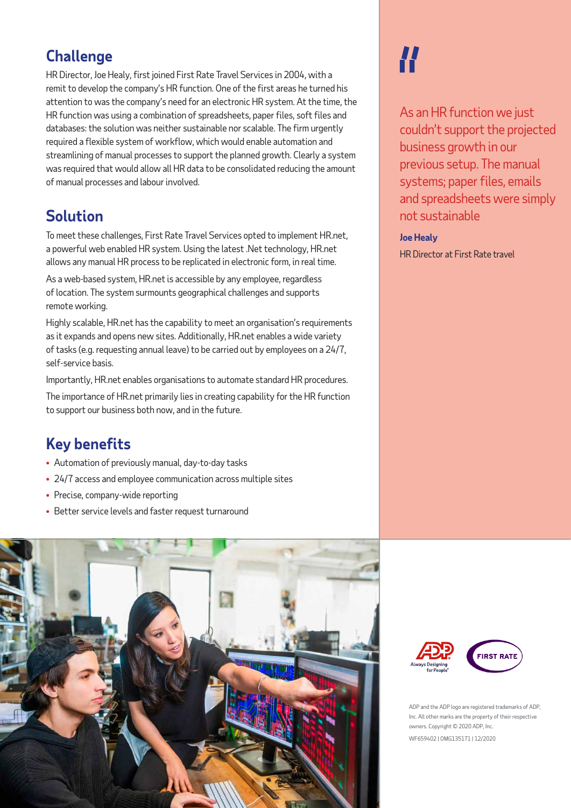### **Challenge**

HR Director, Joe Healy, first joined First Rate Travel Services in 2004, with a remit to develop the company's HR function. One of the first areas he turned his attention to was the company's need for an electronic HR system. At the time, the HR function was using a combination of spreadsheets, paper files, soft files and databases: the solution was neither sustainable nor scalable. The firm urgently required a flexible system of workflow, which would enable automation and streamlining of manual processes to support the planned growth. Clearly a system was required that would allow all HR data to be consolidated reducing the amount of manual processes and labour involved.

### **Solution**

To meet these challenges, First Rate Travel Services opted to implement HR.net, a powerful web enabled HR system. Using the latest .Net technology, HR.net allows any manual HR process to be replicated in electronic form, in real time.

As a web-based system, HR.net is accessible by any employee, regardless of location. The system surmounts geographical challenges and supports remote working.

Highly scalable, HR.net has the capability to meet an organisation's requirements as it expands and opens new sites. Additionally, HR.net enables a wide variety of tasks (e.g. requesting annual leave) to be carried out by employees on a 24/7, self‑service basis.

Importantly, HR.net enables organisations to automate standard HR procedures.

The importance of HR.net primarily lies in creating capability for the HR function to support our business both now, and in the future.

### **Key benefits**

- Automation of previously manual, day-to-day tasks
- 24/7 access and employee communication across multiple sites
- Precise, company-wide reporting
- Better service levels and faster request turnaround

# H

As an HR function we just couldn't support the projected business growth in our previous setup. The manual systems; paper files, emails and spreadsheets were simply not sustainable

**Joe Healy** HR Director at First Rate travel





ADP and the ADP logo are registered trademarks of ADP, Inc. All other marks are the property of their respective owners. Copyright © 2020 ADP, Inc.

WF659402 | OMG135171 | 12/2020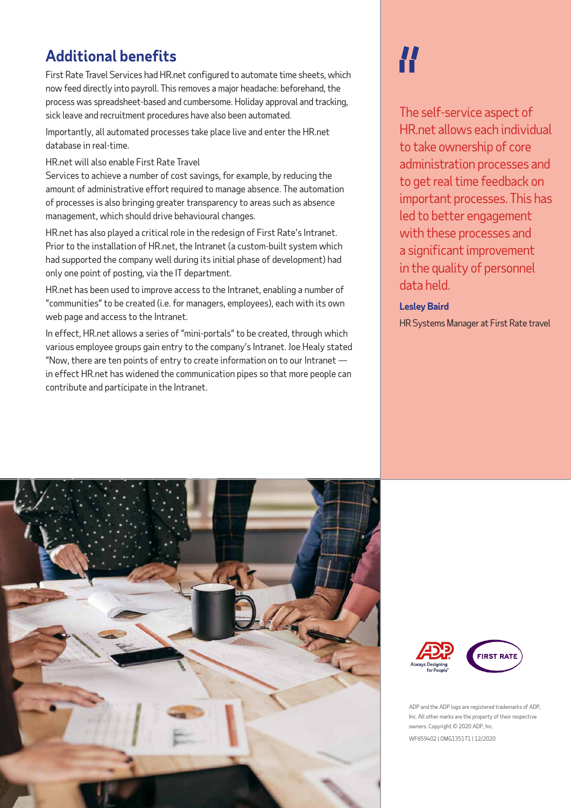### **Additional benefits**

First Rate Travel Services had HR.net configured to automate time sheets, which now feed directly into payroll. This removes a major headache: beforehand, the process was spreadsheet-based and cumbersome. Holiday approval and tracking, sick leave and recruitment procedures have also been automated.

Importantly, all automated processes take place live and enter the HR.net database in real-time.

HR.net will also enable First Rate Travel

Services to achieve a number of cost savings, for example, by reducing the amount of administrative effort required to manage absence. The automation of processes is also bringing greater transparency to areas such as absence management, which should drive behavioural changes.

HR.net has also played a critical role in the redesign of First Rate's Intranet. Prior to the installation of HR.net, the Intranet (a custom-built system which had supported the company well during its initial phase of development) had only one point of posting, via the IT department.

HR.net has been used to improve access to the Intranet, enabling a number of "communities" to be created (i.e. for managers, employees), each with its own web page and access to the Intranet.

In effect, HR.net allows a series of "mini-portals" to be created, through which various employee groups gain entry to the company's Intranet. Joe Healy stated "Now, there are ten points of entry to create information on to our Intranet in effect HR.net has widened the communication pipes so that more people can contribute and participate in the Intranet.

## **//**

The self-service aspect of HR.net allows each individual to take ownership of core administration processes and to get real time feedback on important processes. This has led to better engagement with these processes and a significant improvement in the quality of personnel data held.

#### **Lesley Baird**

HR Systems Manager at First Rate travel







WF659402 | OMG135171 | 12/2020